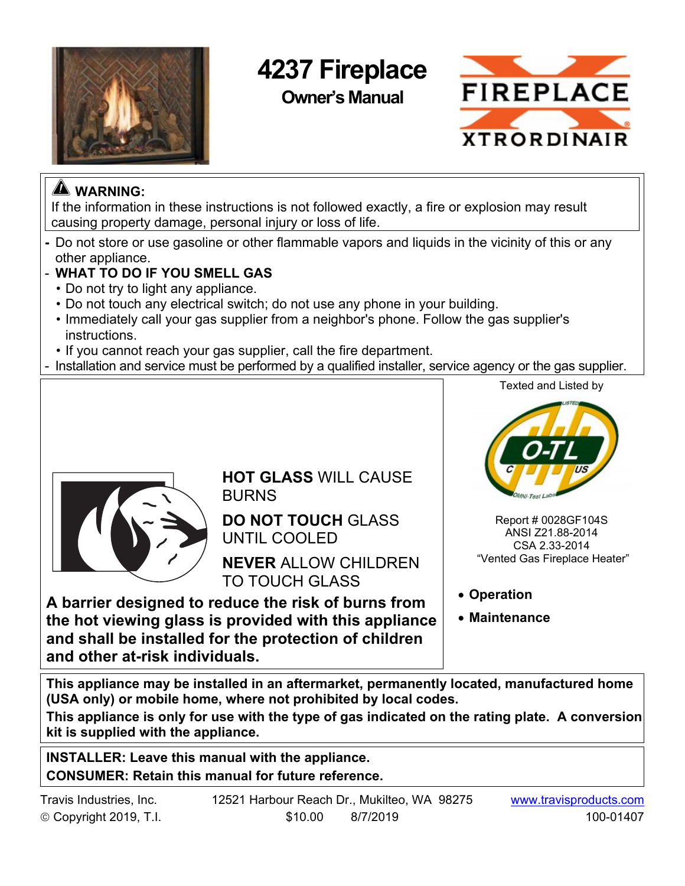

# **4237 Fireplace**

**Owner's Manual** 



# **WARNING:**

If the information in these instructions is not followed exactly, a fire or explosion may result causing property damage, personal injury or loss of life.

- Do not store or use gasoline or other flammable vapors and liquids in the vicinity of this or any other appliance.
- **WHAT TO DO IF YOU SMELL GAS**
	- Do not try to light any appliance.
	- Do not touch any electrical switch; do not use any phone in your building.
	- Immediately call your gas supplier from a neighbor's phone. Follow the gas supplier's instructions.
- If you cannot reach your gas supplier, call the fire department.
- Installation and service must be performed by a qualified installer, service agency or the gas supplier.

Texted and Listed by



**HOT GLASS** WILL CAUSE BURNS

**DO NOT TOUCH** GLASS UNTIL COOLED

**NEVER** ALLOW CHILDREN TO TOUCH GLASS

**A barrier designed to reduce the risk of burns from the hot viewing glass is provided with this appliance and shall be installed for the protection of children and other at-risk individuals.** 



 Report # 0028GF104S ANSI Z21.88-2014 CSA 2.33-2014 "Vented Gas Fireplace Heater"

**Operation** 

**Maintenance** 

**This appliance may be installed in an aftermarket, permanently located, manufactured home (USA only) or mobile home, where not prohibited by local codes.**

**This appliance is only for use with the type of gas indicated on the rating plate. A conversion kit is supplied with the appliance.** 

**INSTALLER: Leave this manual with the appliance. CONSUMER: Retain this manual for future reference.**

| Travis Industries, Inc. | 12521 Harbour Reach Dr., Mukilteo, WA 98275 | www.travisproducts.com |
|-------------------------|---------------------------------------------|------------------------|
| © Copyright 2019, T.I.  | \$10.00<br>8/7/2019                         | 100-01407              |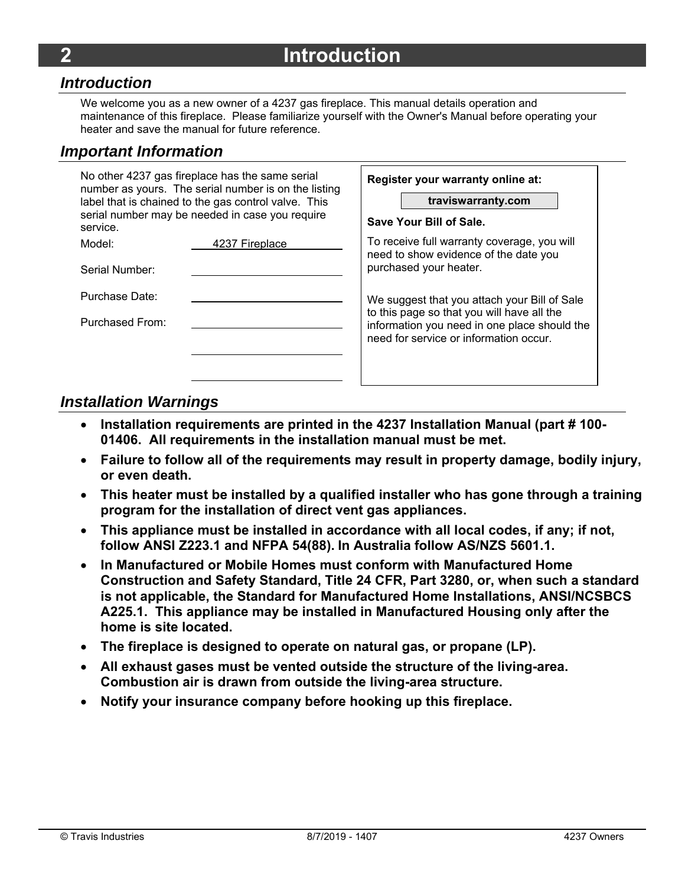#### *Introduction*

We welcome you as a new owner of a 4237 gas fireplace. This manual details operation and maintenance of this fireplace. Please familiarize yourself with the Owner's Manual before operating your heater and save the manual for future reference.

### *Important Information*

| service.        | No other 4237 gas fireplace has the same serial<br>number as yours. The serial number is on the listing<br>label that is chained to the gas control valve. This<br>serial number may be needed in case you require | Register your warranty online at:<br>traviswarranty.com<br>Save Your Bill of Sale.         |
|-----------------|--------------------------------------------------------------------------------------------------------------------------------------------------------------------------------------------------------------------|--------------------------------------------------------------------------------------------|
| Model:          | 4237 Fireplace                                                                                                                                                                                                     | To receive full warranty coverage, you will<br>need to show evidence of the date you       |
| Serial Number:  |                                                                                                                                                                                                                    | purchased your heater.                                                                     |
| Purchase Date:  |                                                                                                                                                                                                                    | We suggest that you attach your Bill of Sale<br>to this page so that you will have all the |
| Purchased From: |                                                                                                                                                                                                                    | information you need in one place should the<br>need for service or information occur.     |

#### *Installation Warnings*

- **Installation requirements are printed in the 4237 Installation Manual (part # 100- 01406. All requirements in the installation manual must be met.**
- **Failure to follow all of the requirements may result in property damage, bodily injury, or even death.**
- **This heater must be installed by a qualified installer who has gone through a training program for the installation of direct vent gas appliances.**
- **This appliance must be installed in accordance with all local codes, if any; if not, follow ANSI Z223.1 and NFPA 54(88). In Australia follow AS/NZS 5601.1.**
- **In Manufactured or Mobile Homes must conform with Manufactured Home Construction and Safety Standard, Title 24 CFR, Part 3280, or, when such a standard is not applicable, the Standard for Manufactured Home Installations, ANSI/NCSBCS A225.1. This appliance may be installed in Manufactured Housing only after the home is site located.**
- **The fireplace is designed to operate on natural gas, or propane (LP).**
- **All exhaust gases must be vented outside the structure of the living-area. Combustion air is drawn from outside the living-area structure.**
- **Notify your insurance company before hooking up this fireplace.**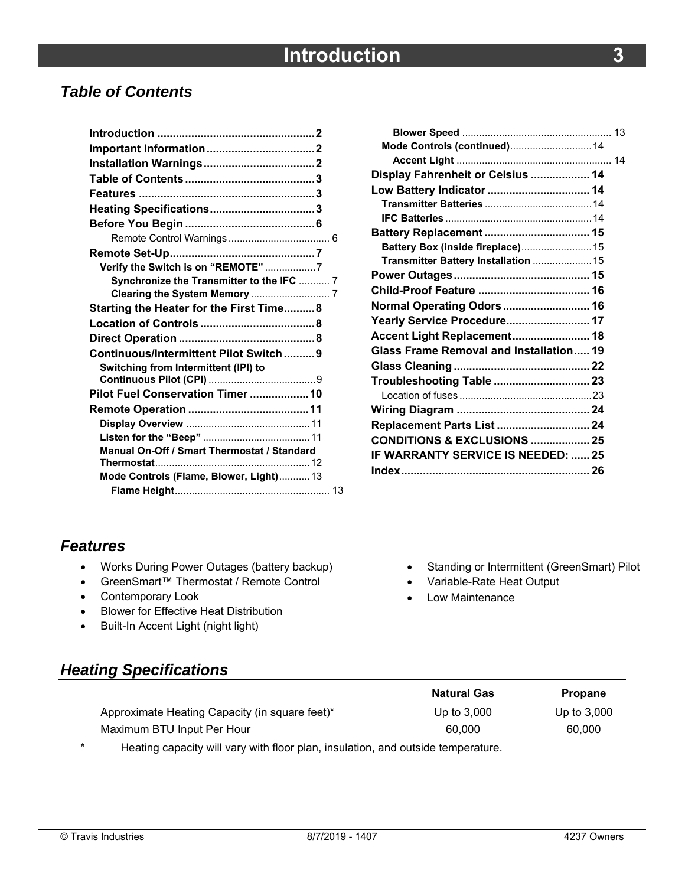## *Table of Contents*

| Verify the Switch is on "REMOTE" 7          |  |
|---------------------------------------------|--|
| Synchronize the Transmitter to the IFC  7   |  |
|                                             |  |
| Starting the Heater for the First Time 8    |  |
|                                             |  |
|                                             |  |
| Continuous/Intermittent Pilot Switch9       |  |
| Switching from Intermittent (IPI) to        |  |
|                                             |  |
| Pilot Fuel Conservation Timer  10           |  |
|                                             |  |
|                                             |  |
|                                             |  |
| Manual On-Off / Smart Thermostat / Standard |  |
|                                             |  |
| Mode Controls (Flame, Blower, Light) 13     |  |
|                                             |  |

| Mode Controls (continued) 14              |  |
|-------------------------------------------|--|
|                                           |  |
| Display Fahrenheit or Celsius  14         |  |
| Low Battery Indicator  14                 |  |
|                                           |  |
|                                           |  |
| Battery Replacement  15                   |  |
| Battery Box (inside fireplace) 15         |  |
| Transmitter Battery Installation  15      |  |
|                                           |  |
|                                           |  |
| Normal Operating Odors 16                 |  |
| Yearly Service Procedure 17               |  |
| Accent Light Replacement 18               |  |
| Glass Frame Removal and Installation 19   |  |
|                                           |  |
| Troubleshooting Table  23                 |  |
|                                           |  |
|                                           |  |
| Replacement Parts List  24                |  |
| <b>CONDITIONS &amp; EXCLUSIONS  25</b>    |  |
| <b>IF WARRANTY SERVICE IS NEEDED:  25</b> |  |
|                                           |  |
|                                           |  |

Standing or Intermittent (GreenSmart) Pilot

Variable-Rate Heat Output

Low Maintenance

### *Features*

|  | Works During Power Outages (battery backup) |  |  |  |  |
|--|---------------------------------------------|--|--|--|--|
|--|---------------------------------------------|--|--|--|--|

- GreenSmart™ Thermostat / Remote Control
- Contemporary Look
- **•** Blower for Effective Heat Distribution
- Built-In Accent Light (night light)

# *Heating Specifications*

|                                                                                                                               | <b>Natural Gas</b> | <b>Propane</b> |
|-------------------------------------------------------------------------------------------------------------------------------|--------------------|----------------|
| Approximate Heating Capacity (in square feet)*                                                                                | Up to 3,000        | Up to $3,000$  |
| Maximum BTU Input Per Hour                                                                                                    | 60,000             | 60.000         |
| المستطيعات ويتمرجه والماجات والمستور ومتلقط المتحارب والمستحيل المتحارب والمستحيل الأرباب والمتحارب والمتحالي والقوام المراجع |                    |                |

Heating capacity will vary with floor plan, insulation, and outside temperature.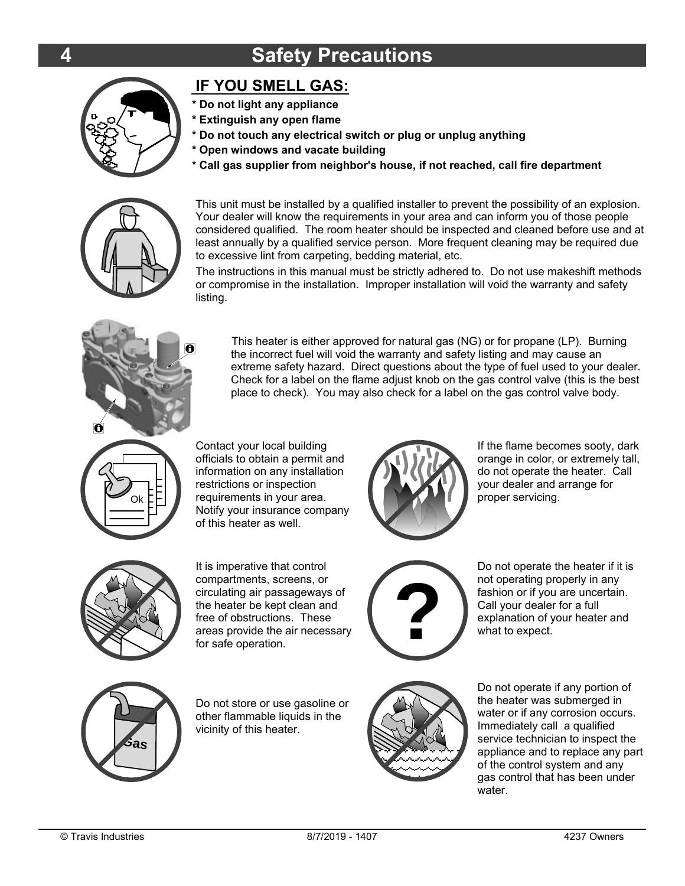# **4 Safety Precautions**



### **IF YOU SMELL GAS:**

- 
- **\* Do not light any appliance**
- **\* Extinguish any open flame**
- **\* Do not touch any electrical switch or plug or unplug anything**
- **\* Open windows and vacate building**
- **\* Call gas supplier from neighbor's house, if not reached, call fire department**



This unit must be installed by a qualified installer to prevent the possibility of an explosion. Your dealer will know the requirements in your area and can inform you of those people considered qualified. The room heater should be inspected and cleaned before use and at least annually by a qualified service person. More frequent cleaning may be required due to excessive lint from carpeting, bedding material, etc.

The instructions in this manual must be strictly adhered to. Do not use makeshift methods or compromise in the installation. Improper installation will void the warranty and safety listing.



This heater is either approved for natural gas (NG) or for propane (LP). Burning the incorrect fuel will void the warranty and safety listing and may cause an extreme safety hazard. Direct questions about the type of fuel used to your dealer. Check for a label on the flame adjust knob on the gas control valve (this is the best place to check). You may also check for a label on the gas control valve body.



Contact your local building officials to obtain a permit and information on any installation restrictions or inspection requirements in your area. Notify your insurance company of this heater as well.



It is imperative that control compartments, screens, or circulating air passageways of the heater be kept clean and free of obstructions. These areas provide the air necessary for safe operation.



If the flame becomes sooty, dark orange in color, or extremely tall, do not operate the heater. Call your dealer and arrange for proper servicing.



Do not operate the heater if it is not operating properly in any fashion or if you are uncertain. Call your dealer for a full explanation of your heater and what to expect.



Do not store or use gasoline or other flammable liquids in the vicinity of this heater.



Do not operate if any portion of the heater was submerged in water or if any corrosion occurs. Immediately call a qualified service technician to inspect the appliance and to replace any part of the control system and any gas control that has been under water.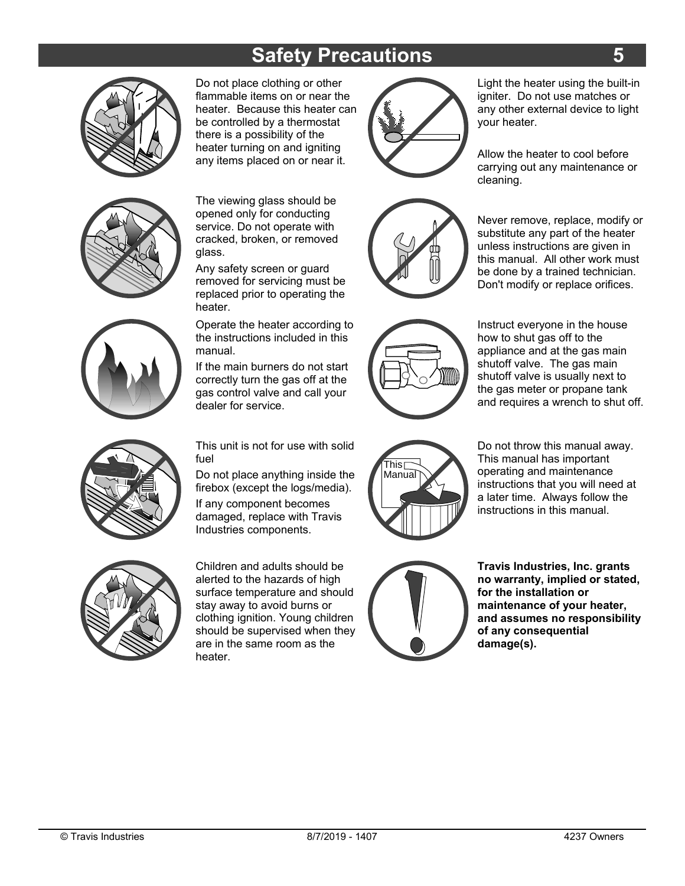# **Safety Precautions**



Do not place clothing or other flammable items on or near the heater. Because this heater can be controlled by a thermostat there is a possibility of the heater turning on and igniting any items placed on or near it. **IB**  $\sqrt{2}$ flammable items on or near the<br>heater. Because this heater can<br>be controlled by a thermostat<br>there is a possibility of the<br>heater turning on and igniting<br>any items placed on or near it.<br>The viewing glass should be<br>opened o

The viewing glass should be opened only for conducting service. Do not operate with cracked, broken, or removed glass.

Any safety screen or guard removed for servicing must be replaced prior to operating the heater.

Operate the heater according to the instructions included in this manual.

If the main burners do not start correctly turn the gas off at the gas control valve and call your dealer for service.

fuel



Light the heater using the built-in igniter. Do not use matches or any other external device to light your heater.

Allow the heater to cool before carrying out any maintenance or cleaning.

Never remove, replace, modify or substitute any part of the heater unless instructions are given in this manual. All other work must be done by a trained technician. Don't modify or replace orifices.



Instruct everyone in the house how to shut gas off to the appliance and at the gas main shutoff valve. The gas main shutoff valve is usually next to the gas meter or propane tank and requires a wrench to shut off.





Children and adults should be alerted to the hazards of high surface temperature and should stay away to avoid burns or clothing ignition. Young children should be supervised when they are in the same room as the heater.



Do not throw this manual away. This manual has important operating and maintenance instructions that you will need at a later time. Always follow the instructions in this manual.



**Travis Industries, Inc. grants no warranty, implied or stated, for the installation or maintenance of your heater, and assumes no responsibility of any consequential damage(s).**



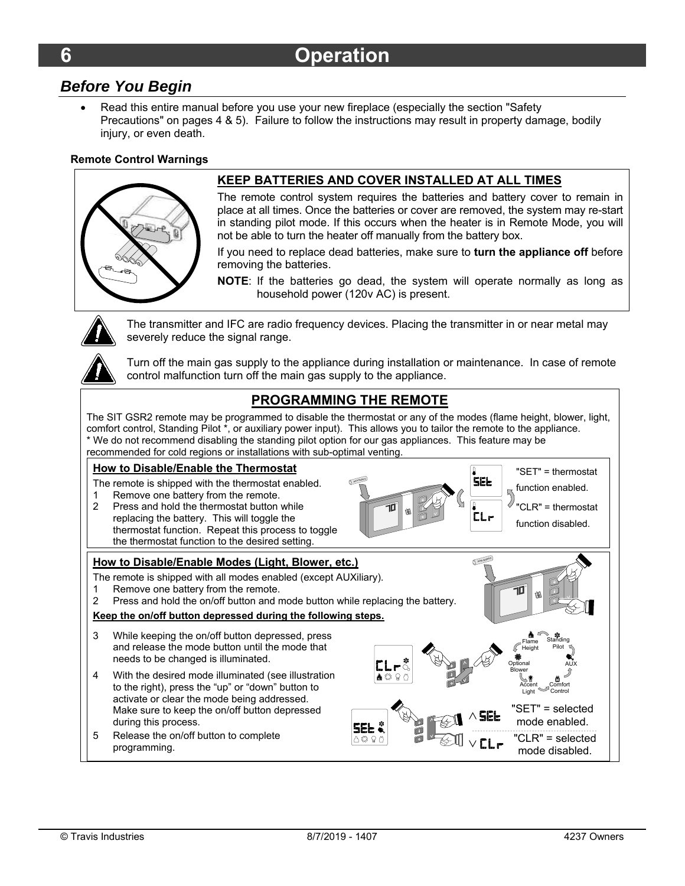#### *Before You Begin*

 Read this entire manual before you use your new fireplace (especially the section "Safety Precautions" on pages 4 & 5). Failure to follow the instructions may result in property damage, bodily injury, or even death.

#### **Remote Control Warnings**



#### **KEEP BATTERIES AND COVER INSTALLED AT ALL TIMES**

The remote control system requires the batteries and battery cover to remain in place at all times. Once the batteries or cover are removed, the system may re-start in standing pilot mode. If this occurs when the heater is in Remote Mode, you will not be able to turn the heater off manually from the battery box.

If you need to replace dead batteries, make sure to **turn the appliance off** before removing the batteries.

**NOTE**: If the batteries go dead, the system will operate normally as long as household power (120v AC) is present.

The transmitter and IFC are radio frequency devices. Placing the transmitter in or near metal may severely reduce the signal range.

Turn off the main gas supply to the appliance during installation or maintenance. In case of remote control malfunction turn off the main gas supply to the appliance.

#### **PROGRAMMING THE REMOTE**

The SIT GSR2 remote may be programmed to disable the thermostat or any of the modes (flame height, blower, light, comfort control, Standing Pilot \*, or auxiliary power input). This allows you to tailor the remote to the appliance. \* We do not recommend disabling the standing pilot option for our gas appliances. This feature may be recommended for cold regions or installations with sub-optimal venting.

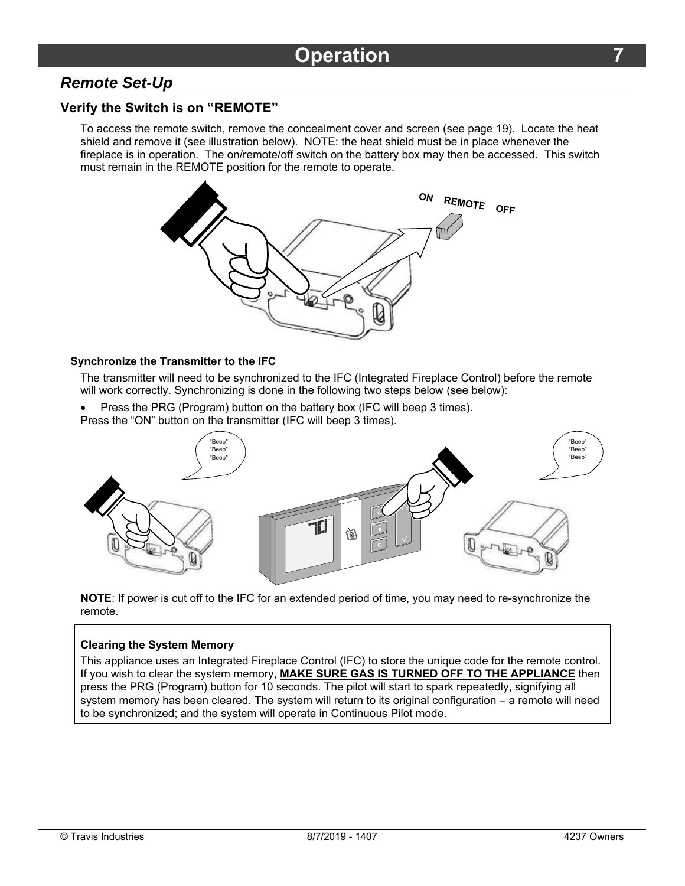### *Remote Set-Up*

#### **Verify the Switch is on "REMOTE"**

To access the remote switch, remove the concealment cover and screen (see page 19). Locate the heat shield and remove it (see illustration below). NOTE: the heat shield must be in place whenever the fireplace is in operation. The on/remote/off switch on the battery box may then be accessed. This switch must remain in the REMOTE position for the remote to operate.



#### **Synchronize the Transmitter to the IFC**

The transmitter will need to be synchronized to the IFC (Integrated Fireplace Control) before the remote will work correctly. Synchronizing is done in the following two steps below (see below):

- Press the PRG (Program) button on the battery box (IFC will beep 3 times).
- Press the "ON" button on the transmitter (IFC will beep 3 times).



**NOTE**: If power is cut off to the IFC for an extended period of time, you may need to re-synchronize the remote.

#### **Clearing the System Memory**

This appliance uses an Integrated Fireplace Control (IFC) to store the unique code for the remote control. If you wish to clear the system memory, **MAKE SURE GAS IS TURNED OFF TO THE APPLIANCE** then press the PRG (Program) button for 10 seconds. The pilot will start to spark repeatedly, signifying all system memory has been cleared. The system will return to its original configuration  $-$  a remote will need to be synchronized; and the system will operate in Continuous Pilot mode.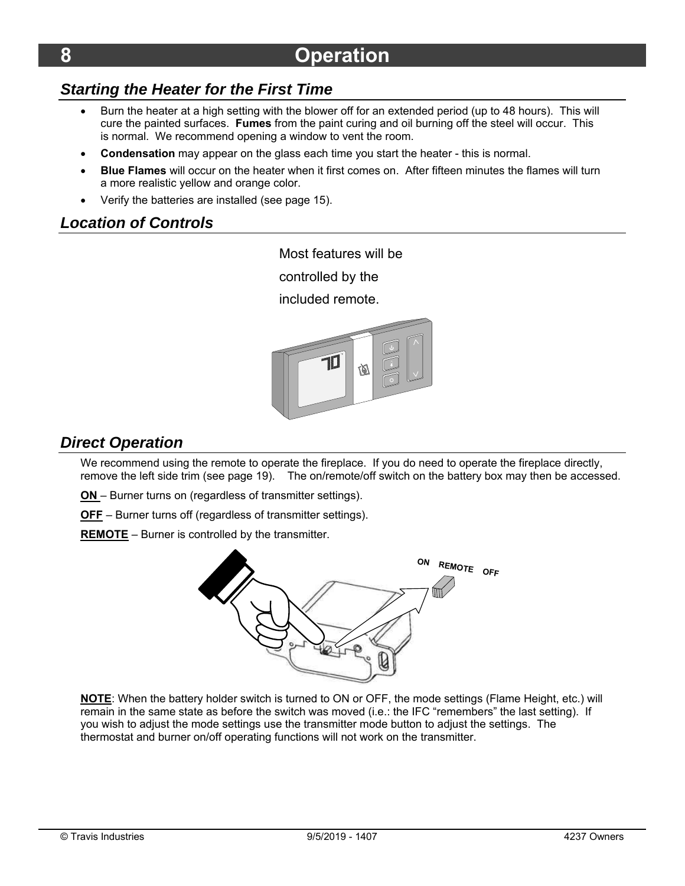# *Starting the Heater for the First Time*

- Burn the heater at a high setting with the blower off for an extended period (up to 48 hours). This will cure the painted surfaces. **Fumes** from the paint curing and oil burning off the steel will occur. This is normal. We recommend opening a window to vent the room.
- **Condensation** may appear on the glass each time you start the heater this is normal.
- **Blue Flames** will occur on the heater when it first comes on. After fifteen minutes the flames will turn a more realistic yellow and orange color.
- Verify the batteries are installed (see page 15).

### *Location of Controls*

Most features will be

controlled by the

included remote.



### *Direct Operation*

We recommend using the remote to operate the fireplace. If you do need to operate the fireplace directly, remove the left side trim (see page 19). The on/remote/off switch on the battery box may then be accessed.

**ON** – Burner turns on (regardless of transmitter settings).

**OFF** – Burner turns off (regardless of transmitter settings).

**REMOTE** – Burner is controlled by the transmitter.



**NOTE**: When the battery holder switch is turned to ON or OFF, the mode settings (Flame Height, etc.) will remain in the same state as before the switch was moved (i.e.: the IFC "remembers" the last setting). If you wish to adjust the mode settings use the transmitter mode button to adjust the settings. The thermostat and burner on/off operating functions will not work on the transmitter.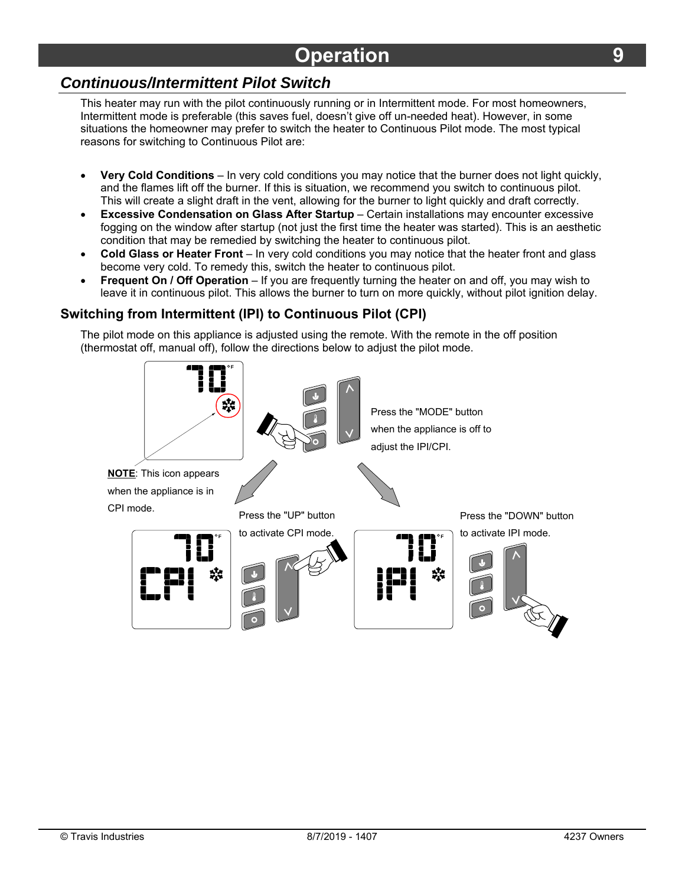# *Continuous/Intermittent Pilot Switch*

This heater may run with the pilot continuously running or in Intermittent mode. For most homeowners, Intermittent mode is preferable (this saves fuel, doesn't give off un-needed heat). However, in some situations the homeowner may prefer to switch the heater to Continuous Pilot mode. The most typical reasons for switching to Continuous Pilot are:

- **Very Cold Conditions** In very cold conditions you may notice that the burner does not light quickly, and the flames lift off the burner. If this is situation, we recommend you switch to continuous pilot. This will create a slight draft in the vent, allowing for the burner to light quickly and draft correctly.
- **Excessive Condensation on Glass After Startup** Certain installations may encounter excessive fogging on the window after startup (not just the first time the heater was started). This is an aesthetic condition that may be remedied by switching the heater to continuous pilot.
- **Cold Glass or Heater Front** In very cold conditions you may notice that the heater front and glass become very cold. To remedy this, switch the heater to continuous pilot.
- **Frequent On / Off Operation** If you are frequently turning the heater on and off, you may wish to leave it in continuous pilot. This allows the burner to turn on more quickly, without pilot ignition delay.

#### **Switching from Intermittent (IPI) to Continuous Pilot (CPI)**

The pilot mode on this appliance is adjusted using the remote. With the remote in the off position (thermostat off, manual off), follow the directions below to adjust the pilot mode.

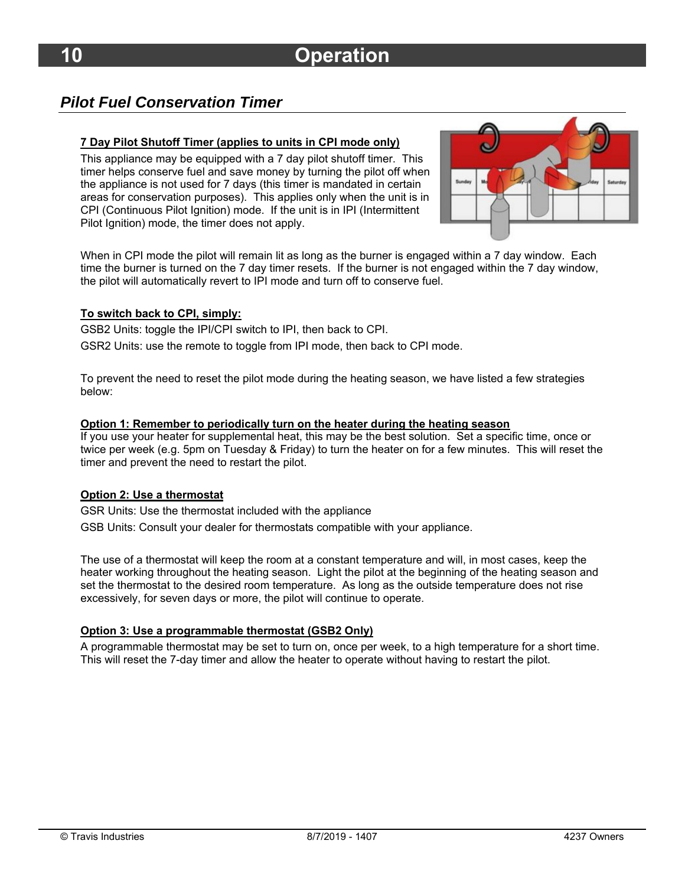### *Pilot Fuel Conservation Timer*

#### **7 Day Pilot Shutoff Timer (applies to units in CPI mode only)**

This appliance may be equipped with a 7 day pilot shutoff timer. This timer helps conserve fuel and save money by turning the pilot off when the appliance is not used for 7 days (this timer is mandated in certain areas for conservation purposes). This applies only when the unit is in CPI (Continuous Pilot Ignition) mode. If the unit is in IPI (Intermittent Pilot Ignition) mode, the timer does not apply.



When in CPI mode the pilot will remain lit as long as the burner is engaged within a 7 day window. Each time the burner is turned on the 7 day timer resets. If the burner is not engaged within the 7 day window, the pilot will automatically revert to IPI mode and turn off to conserve fuel.

#### **To switch back to CPI, simply:**

GSB2 Units: toggle the IPI/CPI switch to IPI, then back to CPI.

GSR2 Units: use the remote to toggle from IPI mode, then back to CPI mode.

To prevent the need to reset the pilot mode during the heating season, we have listed a few strategies below:

#### **Option 1: Remember to periodically turn on the heater during the heating season**

If you use your heater for supplemental heat, this may be the best solution. Set a specific time, once or twice per week (e.g. 5pm on Tuesday & Friday) to turn the heater on for a few minutes. This will reset the timer and prevent the need to restart the pilot.

#### **Option 2: Use a thermostat**

GSR Units: Use the thermostat included with the appliance GSB Units: Consult your dealer for thermostats compatible with your appliance.

The use of a thermostat will keep the room at a constant temperature and will, in most cases, keep the heater working throughout the heating season. Light the pilot at the beginning of the heating season and set the thermostat to the desired room temperature. As long as the outside temperature does not rise excessively, for seven days or more, the pilot will continue to operate.

#### **Option 3: Use a programmable thermostat (GSB2 Only)**

A programmable thermostat may be set to turn on, once per week, to a high temperature for a short time. This will reset the 7-day timer and allow the heater to operate without having to restart the pilot.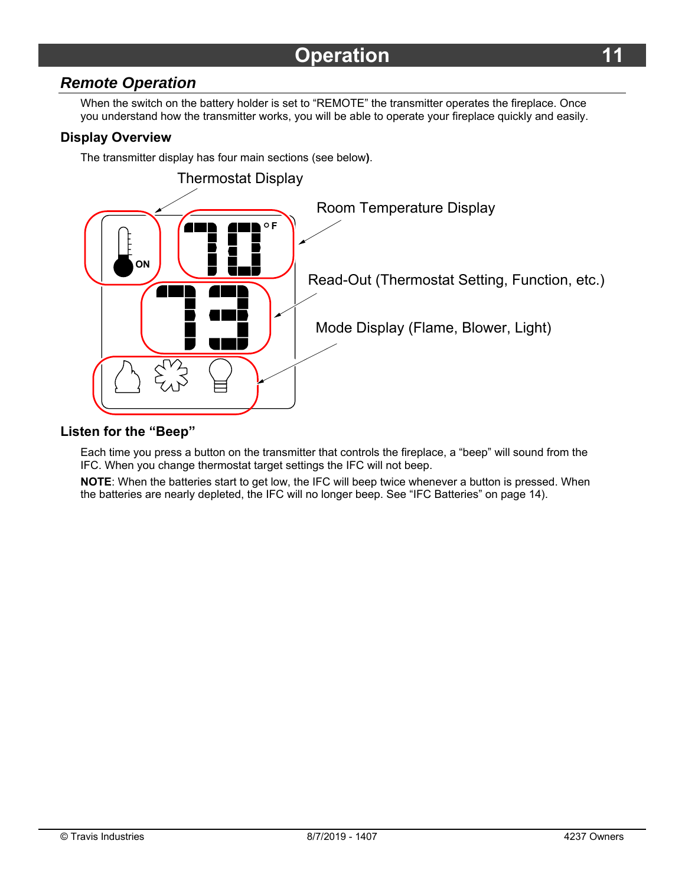### *Remote Operation*

When the switch on the battery holder is set to "REMOTE" the transmitter operates the fireplace. Once you understand how the transmitter works, you will be able to operate your fireplace quickly and easily.

#### **Display Overview**

The transmitter display has four main sections (see below**)**.



#### **Listen for the "Beep"**

Each time you press a button on the transmitter that controls the fireplace, a "beep" will sound from the IFC. When you change thermostat target settings the IFC will not beep.

**NOTE**: When the batteries start to get low, the IFC will beep twice whenever a button is pressed. When the batteries are nearly depleted, the IFC will no longer beep. See "IFC Batteries" on page 14).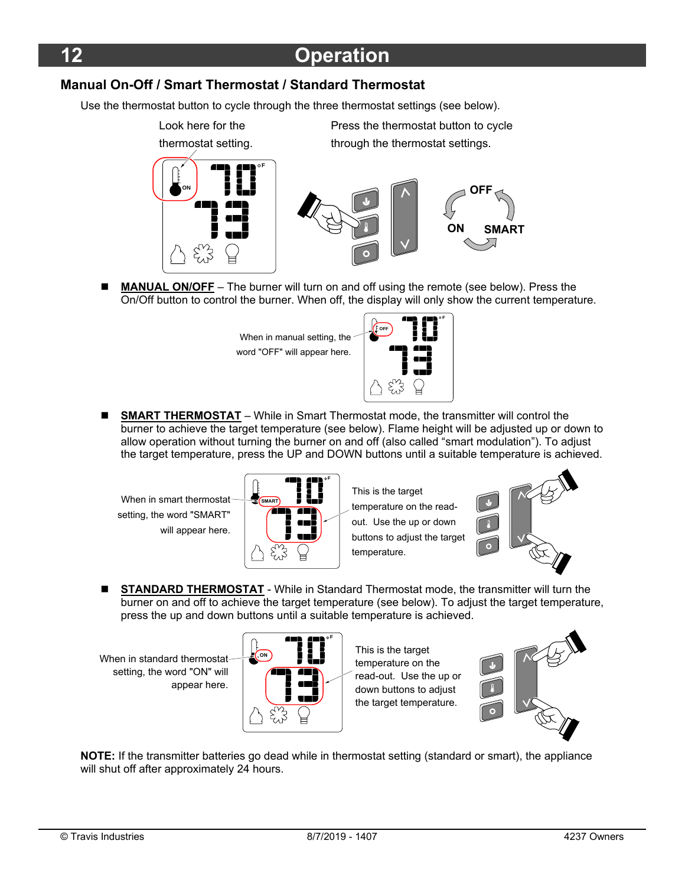#### **Manual On-Off / Smart Thermostat / Standard Thermostat**

Use the thermostat button to cycle through the three thermostat settings (see below).



 **MANUAL ON/OFF** – The burner will turn on and off using the remote (see below). Press the On/Off button to control the burner. When off, the display will only show the current temperature.

> When in manual setting, the word "OFF" will appear here.



■ **SMART THERMOSTAT** – While in Smart Thermostat mode, the transmitter will control the burner to achieve the target temperature (see below). Flame height will be adjusted up or down to allow operation without turning the burner on and off (also called "smart modulation"). To adjust the target temperature, press the UP and DOWN buttons until a suitable temperature is achieved.

When in smart thermostat setting, the word "SMART" will appear here.



This is the target temperature on the readout. Use the up or down buttons to adjust the target temperature.



**STANDARD THERMOSTAT** - While in Standard Thermostat mode, the transmitter will turn the burner on and off to achieve the target temperature (see below). To adjust the target temperature, press the up and down buttons until a suitable temperature is achieved.

**When in standard thermostat** setting, the word "ON" will appear here.



This is the target temperature on the read-out. Use the up or down buttons to adjust the target temperature.



**NOTE:** If the transmitter batteries go dead while in thermostat setting (standard or smart), the appliance will shut off after approximately 24 hours.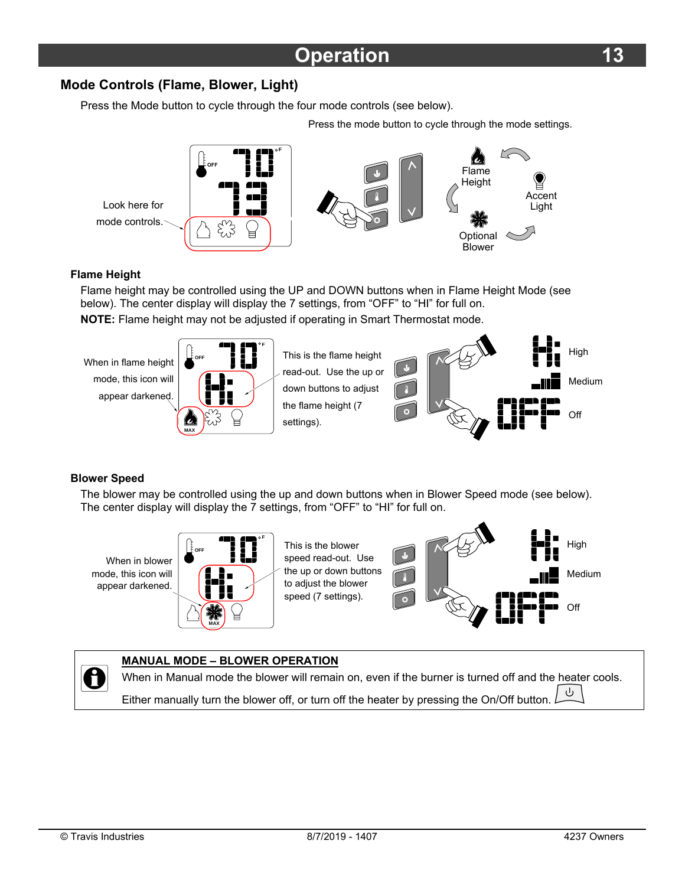#### **Mode Controls (Flame, Blower, Light)**

Press the Mode button to cycle through the four mode controls (see below).

Press the mode button to cycle through the mode settings.



#### **Flame Height**

Flame height may be controlled using the UP and DOWN buttons when in Flame Height Mode (see below). The center display will display the 7 settings, from "OFF" to "HI" for full on.

**NOTE:** Flame height may not be adjusted if operating in Smart Thermostat mode.

settings).

**When in flame height** mode, this icon will appear darkened.



This is the flame height read-out. Use the up or down buttons to adjust the flame height (7



#### **Blower Speed**

The blower may be controlled using the up and down buttons when in Blower Speed mode (see below). The center display will display the 7 settings, from "OFF" to "HI" for full on.

When in blower mode, this icon will appear darkened.



This is the blower speed read-out. Use the up or down buttons to adjust the blower speed (7 settings).



#### **MANUAL MODE – BLOWER OPERATION**  0

When in Manual mode the blower will remain on, even if the burner is turned off and the heater cools. ىل

Either manually turn the blower off, or turn off the heater by pressing the On/Off button.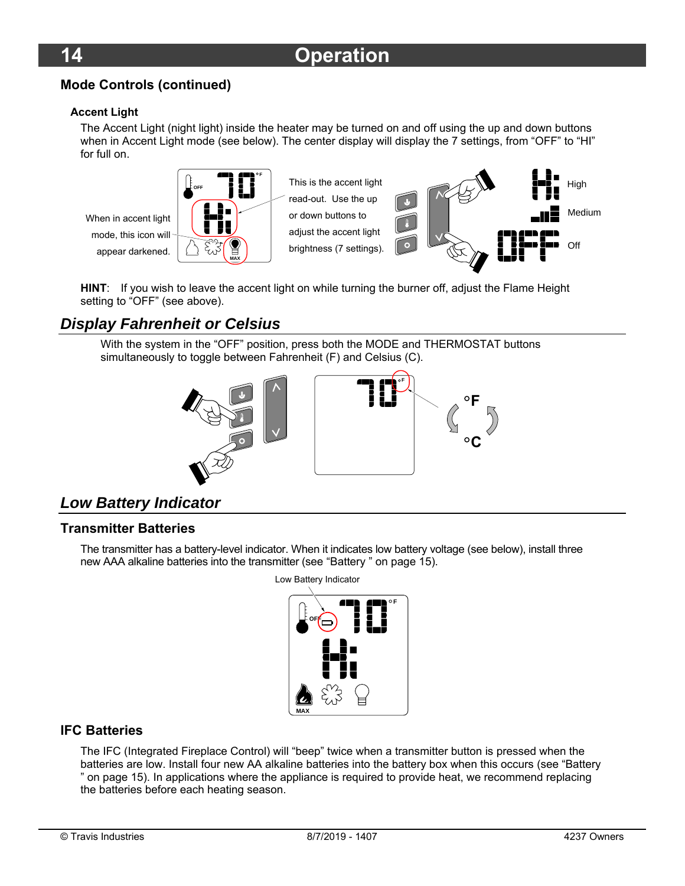#### **Mode Controls (continued)**

#### **Accent Light**

The Accent Light (night light) inside the heater may be turned on and off using the up and down buttons when in Accent Light mode (see below). The center display will display the 7 settings, from "OFF" to "HI" for full on.

When in accent light mode, this icon will appear darkened.



This is the accent light read-out. Use the up or down buttons to adjust the accent light brightness (7 settings).



**HINT**: If you wish to leave the accent light on while turning the burner off, adjust the Flame Height setting to "OFF" (see above).

## *Display Fahrenheit or Celsius*

With the system in the "OFF" position, press both the MODE and THERMOSTAT buttons simultaneously to toggle between Fahrenheit (F) and Celsius (C).



## *Low Battery Indicator*

#### **Transmitter Batteries**

The transmitter has a battery-level indicator. When it indicates low battery voltage (see below), install three new AAA alkaline batteries into the transmitter (see "Battery " on page 15).



#### **IFC Batteries**

The IFC (Integrated Fireplace Control) will "beep" twice when a transmitter button is pressed when the batteries are low. Install four new AA alkaline batteries into the battery box when this occurs (see "Battery " on page 15). In applications where the appliance is required to provide heat, we recommend replacing the batteries before each heating season.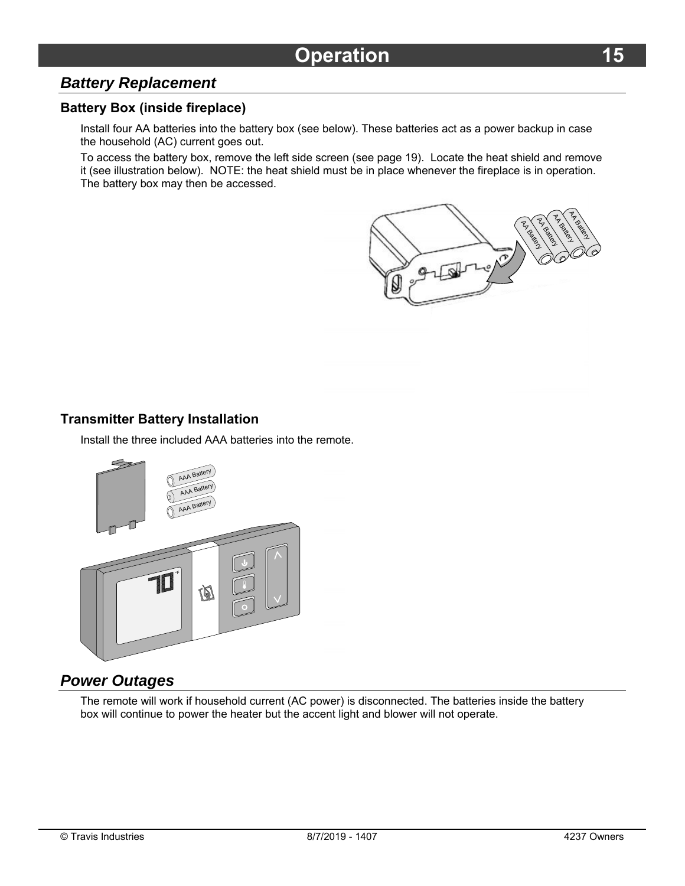### *Battery Replacement*

#### **Battery Box (inside fireplace)**

Install four AA batteries into the battery box (see below). These batteries act as a power backup in case the household (AC) current goes out.

To access the battery box, remove the left side screen (see page 19). Locate the heat shield and remove it (see illustration below). NOTE: the heat shield must be in place whenever the fireplace is in operation. The battery box may then be accessed.



#### **Transmitter Battery Installation**

Install the three included AAA batteries into the remote.



#### *Power Outages*

The remote will work if household current (AC power) is disconnected. The batteries inside the battery box will continue to power the heater but the accent light and blower will not operate.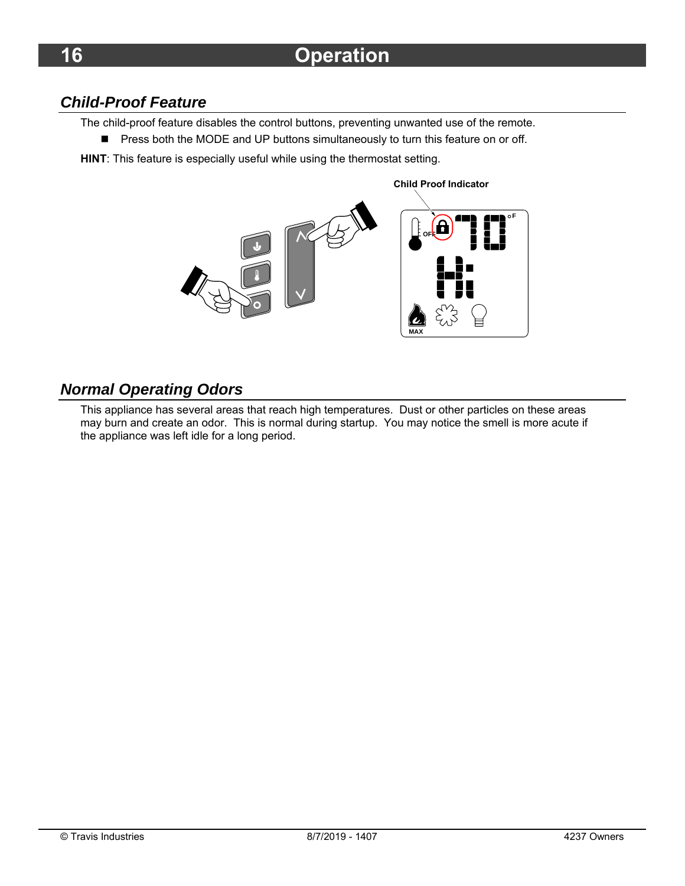# *Child-Proof Feature*

The child-proof feature disables the control buttons, preventing unwanted use of the remote.

- **Press both the MODE and UP buttons simultaneously to turn this feature on or off.**
- **HINT**: This feature is especially useful while using the thermostat setting.

**MAX F OFF**

**Child Proof Indicator**

## *Normal Operating Odors*

This appliance has several areas that reach high temperatures. Dust or other particles on these areas may burn and create an odor. This is normal during startup. You may notice the smell is more acute if the appliance was left idle for a long period.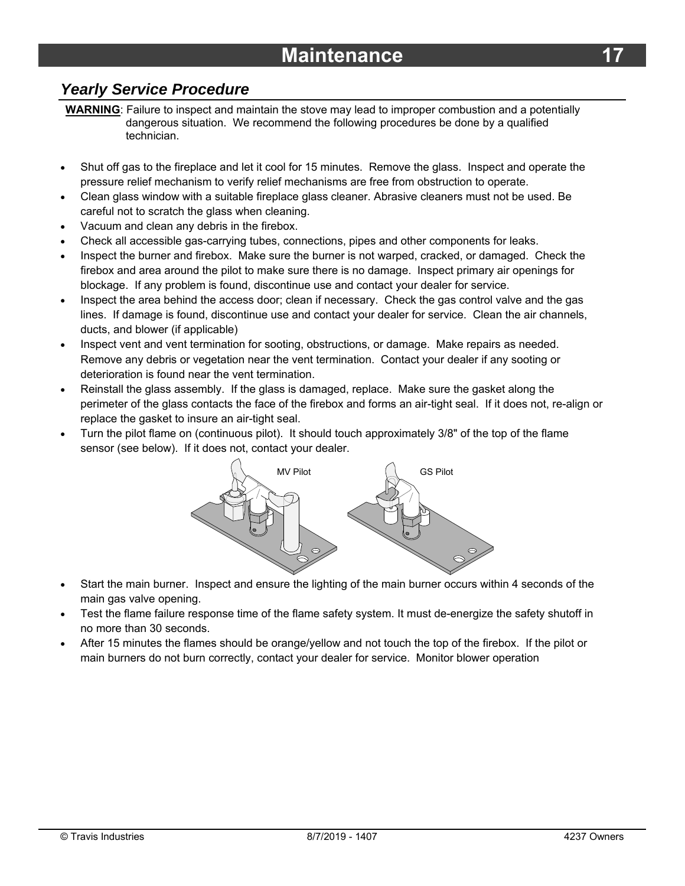### *Yearly Service Procedure*

**WARNING**: Failure to inspect and maintain the stove may lead to improper combustion and a potentially dangerous situation. We recommend the following procedures be done by a qualified technician.

- Shut off gas to the fireplace and let it cool for 15 minutes. Remove the glass. Inspect and operate the pressure relief mechanism to verify relief mechanisms are free from obstruction to operate.
- Clean glass window with a suitable fireplace glass cleaner. Abrasive cleaners must not be used. Be careful not to scratch the glass when cleaning.
- Vacuum and clean any debris in the firebox.
- Check all accessible gas-carrying tubes, connections, pipes and other components for leaks.
- Inspect the burner and firebox. Make sure the burner is not warped, cracked, or damaged. Check the firebox and area around the pilot to make sure there is no damage. Inspect primary air openings for blockage. If any problem is found, discontinue use and contact your dealer for service.
- Inspect the area behind the access door; clean if necessary. Check the gas control valve and the gas lines. If damage is found, discontinue use and contact your dealer for service. Clean the air channels, ducts, and blower (if applicable)
- Inspect vent and vent termination for sooting, obstructions, or damage. Make repairs as needed. Remove any debris or vegetation near the vent termination. Contact your dealer if any sooting or deterioration is found near the vent termination.
- Reinstall the glass assembly. If the glass is damaged, replace. Make sure the gasket along the perimeter of the glass contacts the face of the firebox and forms an air-tight seal. If it does not, re-align or replace the gasket to insure an air-tight seal.
- Turn the pilot flame on (continuous pilot). It should touch approximately 3/8" of the top of the flame sensor (see below). If it does not, contact your dealer.



- Start the main burner. Inspect and ensure the lighting of the main burner occurs within 4 seconds of the main gas valve opening.
- Test the flame failure response time of the flame safety system. It must de-energize the safety shutoff in no more than 30 seconds.
- After 15 minutes the flames should be orange/yellow and not touch the top of the firebox. If the pilot or main burners do not burn correctly, contact your dealer for service. Monitor blower operation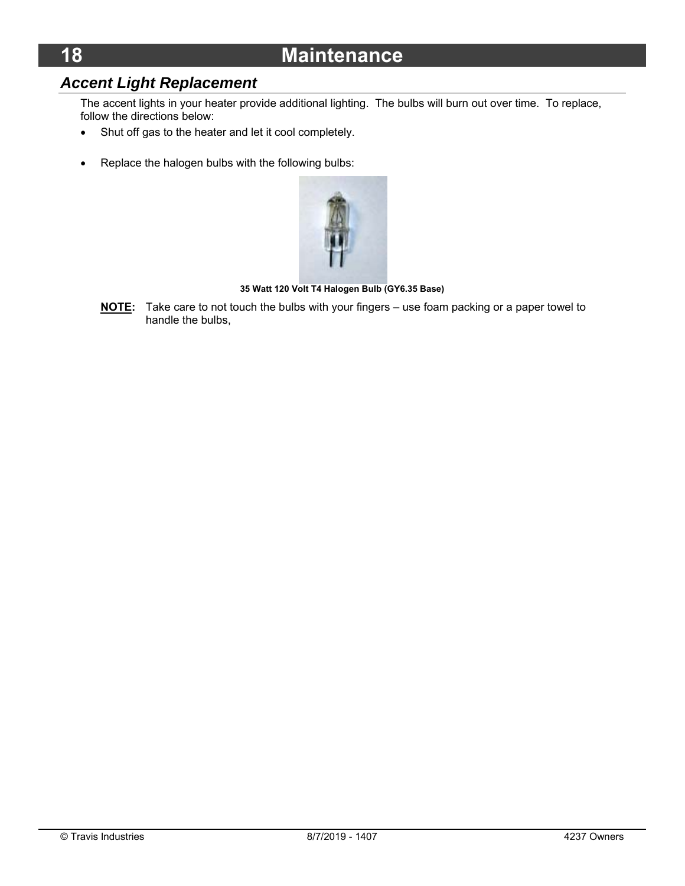# **18 Maintenance**

# *Accent Light Replacement*

The accent lights in your heater provide additional lighting. The bulbs will burn out over time. To replace, follow the directions below:

- Shut off gas to the heater and let it cool completely.
- Replace the halogen bulbs with the following bulbs:



**35 Watt 120 Volt T4 Halogen Bulb (GY6.35 Base)** 

**NOTE:** Take care to not touch the bulbs with your fingers – use foam packing or a paper towel to handle the bulbs,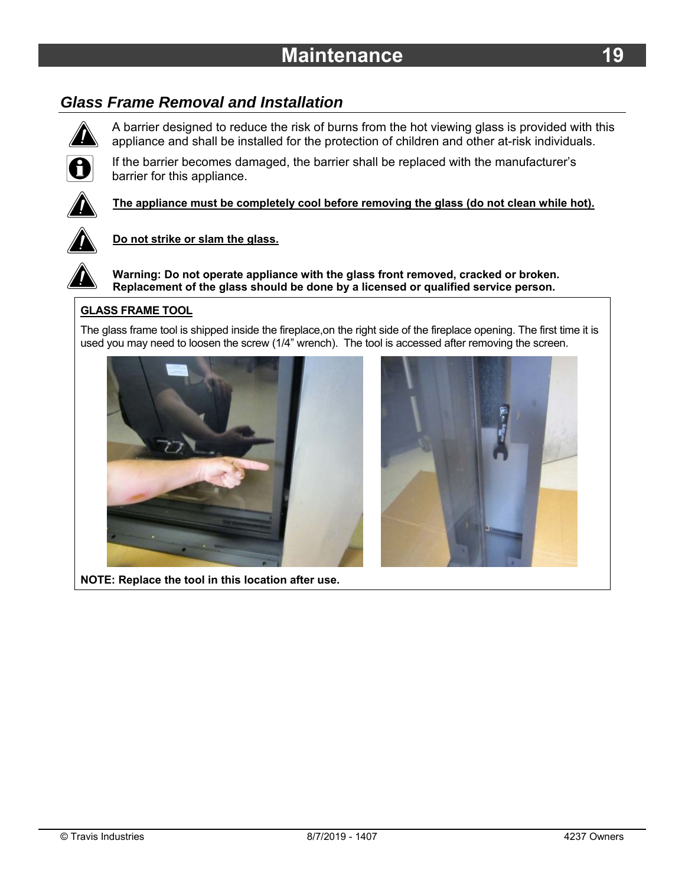# *Glass Frame Removal and Installation*



A barrier designed to reduce the risk of burns from the hot viewing glass is provided with this appliance and shall be installed for the protection of children and other at-risk individuals.



If the barrier becomes damaged, the barrier shall be replaced with the manufacturer's barrier for this appliance.



**The appliance must be completely cool before removing the glass (do not clean while hot).** 



#### **Do not strike or slam the glass.**

**Warning: Do not operate appliance with the glass front removed, cracked or broken. Replacement of the glass should be done by a licensed or qualified service person.** 

#### **GLASS FRAME TOOL**

The glass frame tool is shipped inside the fireplace,on the right side of the fireplace opening. The first time it is used you may need to loosen the screw (1/4" wrench). The tool is accessed after removing the screen.





**NOTE: Replace the tool in this location after use.**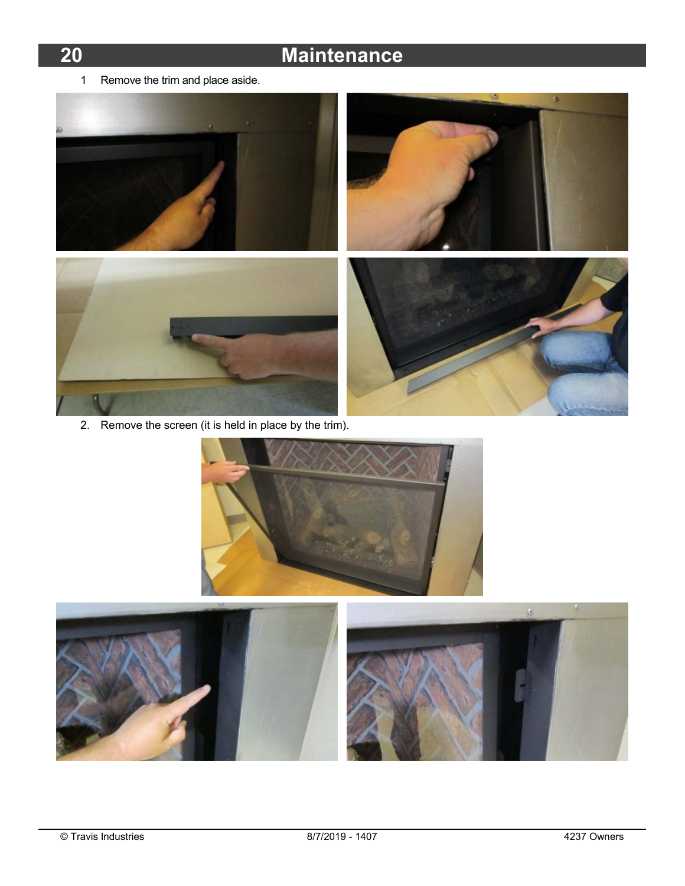# **20 Maintenance**

1 Remove the trim and place aside.



2. Remove the screen (it is held in place by the trim).



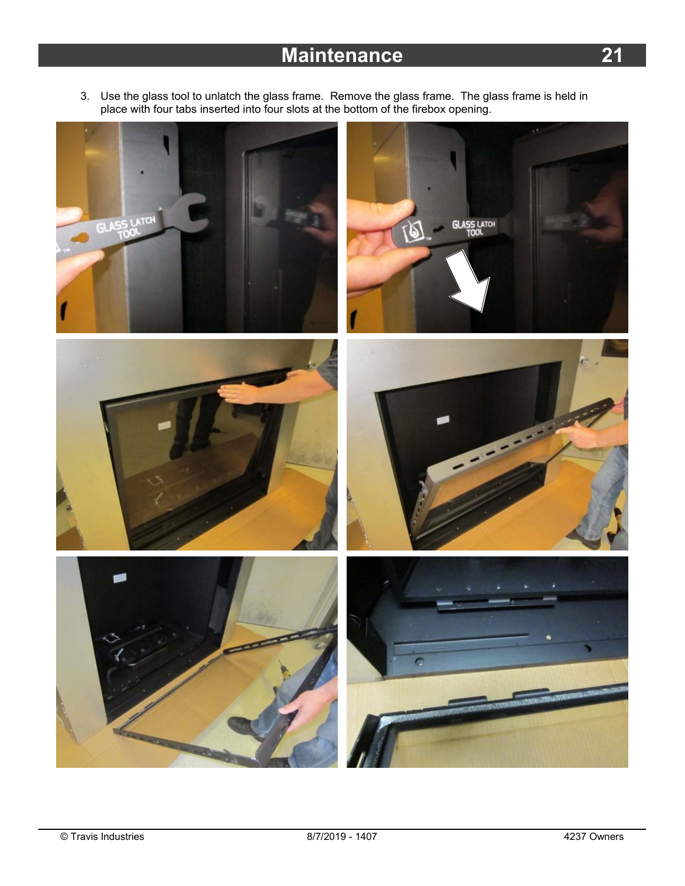3. Use the glass tool to unlatch the glass frame. Remove the glass frame. The glass frame is held in place with four tabs inserted into four slots at the bottom of the firebox opening.

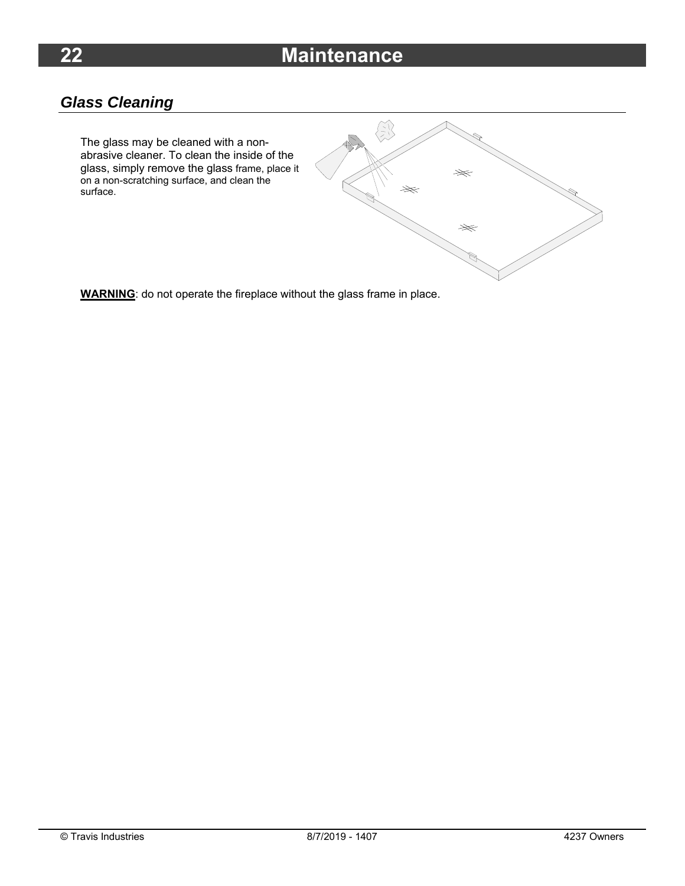# **22 Maintenance**

# *Glass Cleaning*

The glass may be cleaned with a nonabrasive cleaner. To clean the inside of the glass, simply remove the glass frame, place it on a non-scratching surface, and clean the surface.



**WARNING**: do not operate the fireplace without the glass frame in place.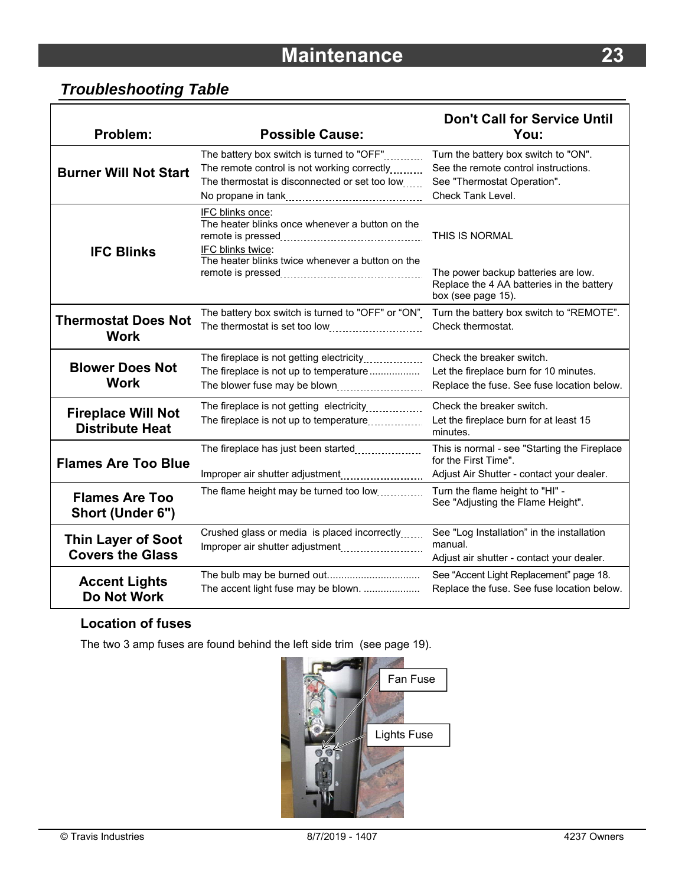# *Troubleshooting Table*

| Problem:                                             | <b>Possible Cause:</b>                                                                                                                       | <b>Don't Call for Service Until</b><br>You:                                                                                      |
|------------------------------------------------------|----------------------------------------------------------------------------------------------------------------------------------------------|----------------------------------------------------------------------------------------------------------------------------------|
| <b>Burner Will Not Start</b>                         | The battery box switch is turned to "OFF"<br>The remote control is not working correctly<br>The thermostat is disconnected or set too low    | Turn the battery box switch to "ON".<br>See the remote control instructions.<br>See "Thermostat Operation".<br>Check Tank Level. |
| <b>IFC Blinks</b>                                    | IFC blinks once:<br>The heater blinks once whenever a button on the<br>IFC blinks twice:<br>The heater blinks twice whenever a button on the | THIS IS NORMAL<br>The power backup batteries are low.<br>Replace the 4 AA batteries in the battery<br>box (see page 15).         |
| <b>Thermostat Does Not</b><br><b>Work</b>            | The battery box switch is turned to "OFF" or "ON"<br>The thermostat is set too low                                                           | Turn the battery box switch to "REMOTE".<br>Check thermostat.                                                                    |
| <b>Blower Does Not</b><br><b>Work</b>                | The fireplace is not getting electricity<br>The fireplace is not up to temperature<br>The blower fuse may be blown                           | Check the breaker switch.<br>Let the fireplace burn for 10 minutes.<br>Replace the fuse. See fuse location below.                |
| <b>Fireplace Will Not</b><br><b>Distribute Heat</b>  | The fireplace is not getting electricity<br>The fireplace is not up to temperature                                                           | Check the breaker switch.<br>Let the fireplace burn for at least 15<br>minutes.                                                  |
| <b>Flames Are Too Blue</b>                           | The fireplace has just been started<br>Improper air shutter adjustment                                                                       | This is normal - see "Starting the Fireplace<br>for the First Time".<br>Adjust Air Shutter - contact your dealer.                |
| <b>Flames Are Too</b><br>Short (Under 6")            | The flame height may be turned too low                                                                                                       | Turn the flame height to "HI" -<br>See "Adjusting the Flame Height".                                                             |
| <b>Thin Layer of Soot</b><br><b>Covers the Glass</b> | Crushed glass or media is placed incorrectly<br>Improper air shutter adjustment                                                              | See "Log Installation" in the installation<br>manual.<br>Adjust air shutter - contact your dealer.                               |
| <b>Accent Lights</b><br><b>Do Not Work</b>           | The accent light fuse may be blown.                                                                                                          | See "Accent Light Replacement" page 18.<br>Replace the fuse. See fuse location below.                                            |

#### **Location of fuses**

The two 3 amp fuses are found behind the left side trim (see page 19).



٦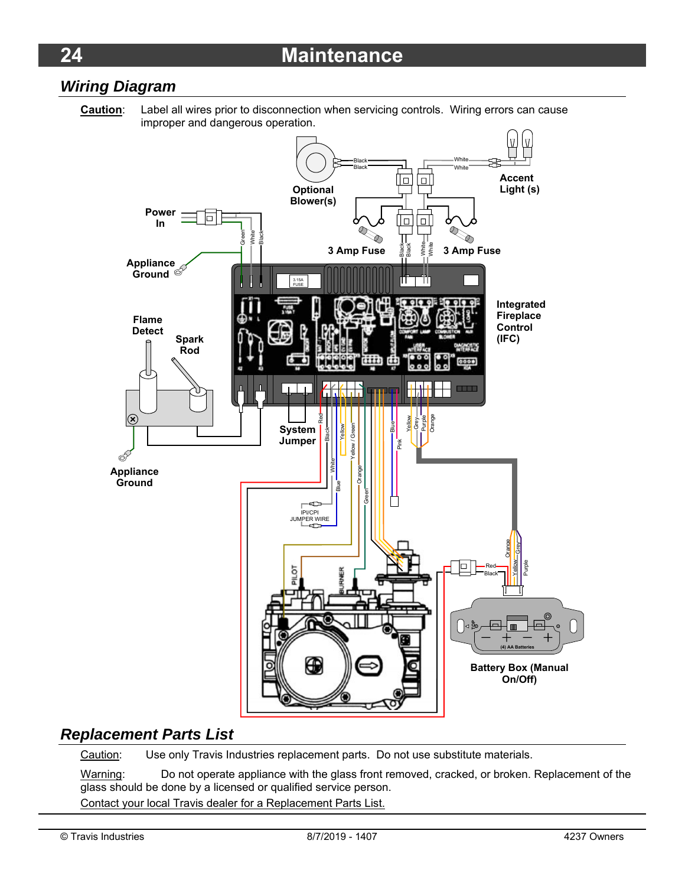### *Wiring Diagram*



## *Replacement Parts List*

Caution: Use only Travis Industries replacement parts. Do not use substitute materials.

Warning: Do not operate appliance with the glass front removed, cracked, or broken. Replacement of the glass should be done by a licensed or qualified service person. Contact your local Travis dealer for a Replacement Parts List.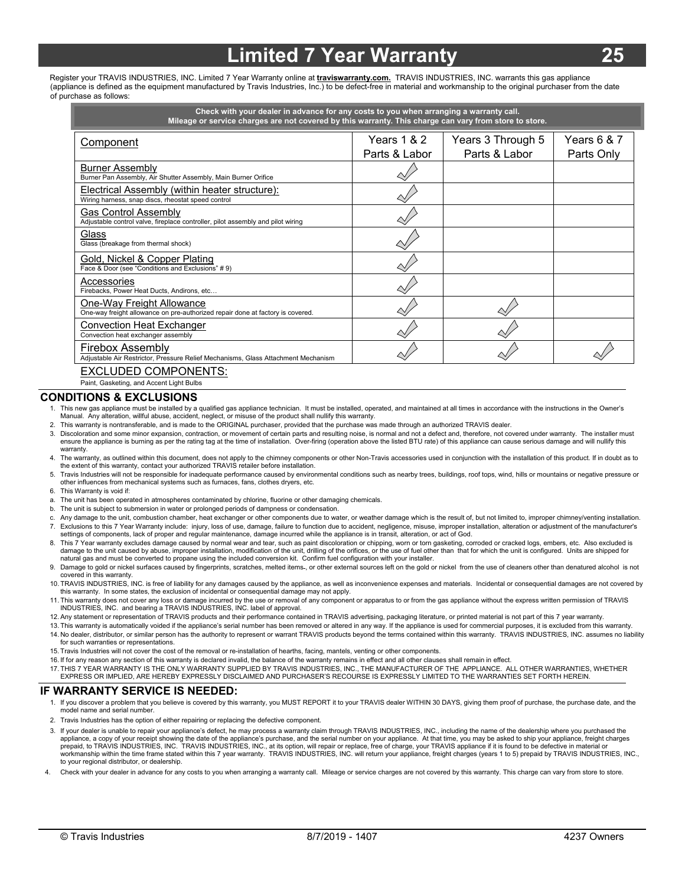# **Limited 7 Year Warranty**

Register your TRAVIS INDUSTRIES, INC. Limited 7 Year Warranty online at **traviswarranty.com.** TRAVIS INDUSTRIES, INC. warrants this gas appliance (appliance is defined as the equipment manufactured by Travis Industries, Inc.) to be defect-free in material and workmanship to the original purchaser from the date of purchase as follows:

| Years $6 & 7$<br>Years 1 & 2<br>Years 3 Through 5<br>Component<br>Parts & Labor<br>Parts & Labor<br>Parts Only<br><b>Burner Assembly</b><br>Burner Pan Assembly, Air Shutter Assembly, Main Burner Orifice<br>Electrical Assembly (within heater structure):<br>Wiring harness, snap discs, rheostat speed control<br><b>Gas Control Assembly</b><br>Adjustable control valve, fireplace controller, pilot assembly and pilot wiring<br>Glass<br>Glass (breakage from thermal shock) | Check with your dealer in advance for any costs to you when arranging a warranty call.<br>Mileage or service charges are not covered by this warranty. This charge can vary from store to store. |  |  |  |
|--------------------------------------------------------------------------------------------------------------------------------------------------------------------------------------------------------------------------------------------------------------------------------------------------------------------------------------------------------------------------------------------------------------------------------------------------------------------------------------|--------------------------------------------------------------------------------------------------------------------------------------------------------------------------------------------------|--|--|--|
|                                                                                                                                                                                                                                                                                                                                                                                                                                                                                      |                                                                                                                                                                                                  |  |  |  |
|                                                                                                                                                                                                                                                                                                                                                                                                                                                                                      |                                                                                                                                                                                                  |  |  |  |
|                                                                                                                                                                                                                                                                                                                                                                                                                                                                                      |                                                                                                                                                                                                  |  |  |  |
|                                                                                                                                                                                                                                                                                                                                                                                                                                                                                      |                                                                                                                                                                                                  |  |  |  |
|                                                                                                                                                                                                                                                                                                                                                                                                                                                                                      |                                                                                                                                                                                                  |  |  |  |
| Gold, Nickel & Copper Plating<br>Face & Door (see "Conditions and Exclusions" #9)                                                                                                                                                                                                                                                                                                                                                                                                    |                                                                                                                                                                                                  |  |  |  |
| Accessories<br>Firebacks, Power Heat Ducts, Andirons, etc                                                                                                                                                                                                                                                                                                                                                                                                                            |                                                                                                                                                                                                  |  |  |  |
| One-Way Freight Allowance<br>One-way freight allowance on pre-authorized repair done at factory is covered.                                                                                                                                                                                                                                                                                                                                                                          |                                                                                                                                                                                                  |  |  |  |
| Convection Heat Exchanger<br>Convection heat exchanger assembly                                                                                                                                                                                                                                                                                                                                                                                                                      |                                                                                                                                                                                                  |  |  |  |
| Firebox Assembly<br>Adjustable Air Restrictor, Pressure Relief Mechanisms, Glass Attachment Mechanism<br>EXCLUDED COMPONENTS:                                                                                                                                                                                                                                                                                                                                                        |                                                                                                                                                                                                  |  |  |  |

'UNENTS: Paint, Gasketing, and Accent Light Bulbs

#### **CONDITIONS & EXCLUSIONS**

- 1. This new gas appliance must be installed by a qualified gas appliance technician. It must be installed, operated, and maintained at all times in accordance with the instructions in the Owner's<br>Manual. Any alteration, wi
- 2. This warranty is nontransferable, and is made to the ORIGINAL purchaser, provided that the purchase was made through an authorized TRAVIS dealer.
- 3. Discoloration and some minor expansion, contraction, or movement of certain parts and resulting noise, is normal and not a defect and, therefore, not covered under warranty. The installer must ensure the appliance is burning as per the rating tag at the time of installation. Over-firing (operation above the listed BTU rate) of this appliance can cause serious damage and will nullify this warranty.
- 4. The warranty, as outlined within this document, does not apply to the chimney components or other Non-Travis accessories used in conjunction with the installation of this product. If in doubt as to the extent of this warranty, contact your authorized TRAVIS retailer before installation.
- 5. Travis Industries will not be responsible for inadequate performance caused by environmental conditions such as nearby trees, buildings, roof tops, wind, hills or mountains or negative pressure or other influences from mechanical systems such as furnaces, fans, clothes dryers, etc.
- 6. This Warranty is void if:
- a. The unit has been operated in atmospheres contaminated by chlorine, fluorine or other damaging chemicals.
- b. The unit is subject to submersion in water or prolonged periods of dampness or condensation.
- Any damage to the unit, combustion chamber, heat exchanger or other components due to water, or weather damage which is the result of, but not limited to, improper chimney/venting installation. 7. Exclusions to this 7 Year Warranty include: injury, loss of use, damage, failure to function due to accident, negligence, misuse, improper installation, alteration or adjustment of the manufacturer's settings of components, lack of proper and regular maintenance, damage incurred while the appliance is in transit, alteration, or act of God.
- 8. This 7 Year warranty excludes damage caused by normal wear and tear, such as paint discoloration or chipping, worn or torn gasketing, corroded or cracked logs, embers, etc. Also excluded is damage to the unit caused by abuse, improper installation, modification of the unit, drilling of the orifices, or the use of fuel other than that for which the unit is configured. Units are shipped for natural gas and must be converted to propane using the included conversion kit. Confirm fuel configuration with your installer.
- 9. Damage to gold or nickel surfaces caused by fingerprints, scratches, melted items-, or other external sources left on the gold or nickel from the use of cleaners other than denatured alcohol is not covered in this warranty.
- 10. TRAVIS INDUSTRIES, INC. is free of liability for any damages caused by the appliance, as well as inconvenience expenses and materials. Incidental or consequential damages are not covered by this warranty. In some states, the exclusion of incidental or consequential damage may not apply.
- 11. This warranty does not cover any loss or damage incurred by the use or removal of any component or apparatus to or from the gas appliance without the express written permission of TRAVIS INDUSTRIES, INC. and bearing a TRAVIS INDUSTRIES, INC. label of approval.
- 12. Any statement or representation of TRAVIS products and their performance contained in TRAVIS advertising, packaging literature, or printed material is not part of this 7 year warranty.
- 13. This warranty is automatically voided if the appliance's serial number has been removed or altered in any way. If the appliance is used for commercial purposes, it is excluded from this warranty. 14. No dealer, distributor, or similar person has the authority to represent or warrant TRAVIS products beyond the terms contained within this warranty. TRAVIS INDUSTRIES, INC. assumes no liability for such warranties or representations.
- 15. Travis Industries will not cover the cost of the removal or re-installation of hearths, facing, mantels, venting or other components.
- 16. If for any reason any section of this warranty is declared invalid, the balance of the warranty remains in effect and all other clauses shall remain in effect.
- 17. THIS 7 YEAR WARRANTY IS THE ONLY WARRANTY SUPPLIED BY TRAVIS INDUSTRIES, INC., THE MANUFACTURER OF THE APPLIANCE. ALL OTHER WARRANTIES, WHETHER EXPRESS OR IMPLIED, ARE HEREBY EXPRESSLY DISCLAIMED AND PURCHASER'S RECOURSE IS EXPRESSLY LIMITED TO THE WARRANTIES SET FORTH HEREIN.

#### **IF WARRANTY SERVICE IS NEEDED:**

- 1. If you discover a problem that you believe is covered by this warranty, you MUST REPORT it to your TRAVIS dealer WITHIN 30 DAYS, giving them proof of purchase, the purchase date, and the model name and serial number.
- 2. Travis Industries has the option of either repairing or replacing the defective component.
- 3. If your dealer is unable to repair your appliance's defect, he may process a warranty claim through TRAVIS INDUSTRIES, INC., including the name of the dealership where you purchased the appliance, a copy of your receipt showing the date of the appliance's purchase, and the serial number on your appliance. At that time, you may be asked to ship your appliance, freight charges<br>prepaid, to TRAVIS INDUSTRIES, workmanship within the time frame stated within this 7 year warranty. TRAVIS INDUSTRIES, INC. will return your appliance, freight charges (years 1 to 5) prepaid by TRAVIS INDUSTRIES, INC., to your regional distributor, or dealership.
- Check with your dealer in advance for any costs to you when arranging a warranty call. Mileage or service charges are not covered by this warranty. This charge can vary from store to store.